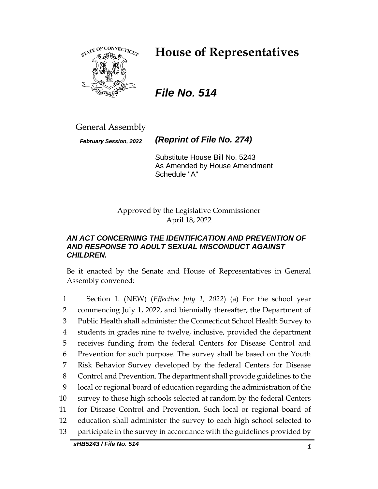

# **House of Representatives**

*File No. 514*

General Assembly

*February Session, 2022 (Reprint of File No. 274)*

Substitute House Bill No. 5243 As Amended by House Amendment Schedule "A"

Approved by the Legislative Commissioner April 18, 2022

# *AN ACT CONCERNING THE IDENTIFICATION AND PREVENTION OF AND RESPONSE TO ADULT SEXUAL MISCONDUCT AGAINST CHILDREN.*

Be it enacted by the Senate and House of Representatives in General Assembly convened:

 Section 1. (NEW) (*Effective July 1, 2022*) (a) For the school year commencing July 1, 2022, and biennially thereafter, the Department of Public Health shall administer the Connecticut School Health Survey to students in grades nine to twelve, inclusive, provided the department receives funding from the federal Centers for Disease Control and Prevention for such purpose. The survey shall be based on the Youth Risk Behavior Survey developed by the federal Centers for Disease Control and Prevention. The department shall provide guidelines to the local or regional board of education regarding the administration of the survey to those high schools selected at random by the federal Centers for Disease Control and Prevention. Such local or regional board of education shall administer the survey to each high school selected to participate in the survey in accordance with the guidelines provided by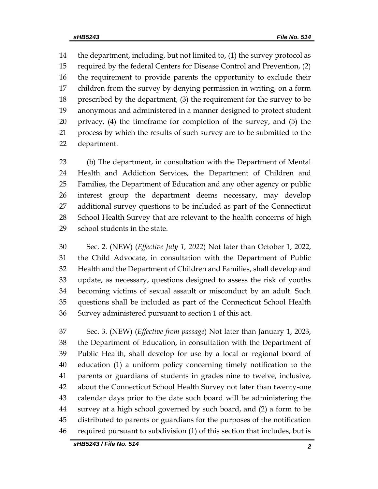the department, including, but not limited to, (1) the survey protocol as required by the federal Centers for Disease Control and Prevention, (2) the requirement to provide parents the opportunity to exclude their children from the survey by denying permission in writing, on a form prescribed by the department, (3) the requirement for the survey to be anonymous and administered in a manner designed to protect student privacy, (4) the timeframe for completion of the survey, and (5) the process by which the results of such survey are to be submitted to the department.

 (b) The department, in consultation with the Department of Mental Health and Addiction Services, the Department of Children and Families, the Department of Education and any other agency or public interest group the department deems necessary, may develop additional survey questions to be included as part of the Connecticut School Health Survey that are relevant to the health concerns of high school students in the state.

 Sec. 2. (NEW) (*Effective July 1, 2022*) Not later than October 1, 2022, the Child Advocate, in consultation with the Department of Public Health and the Department of Children and Families, shall develop and update, as necessary, questions designed to assess the risk of youths becoming victims of sexual assault or misconduct by an adult. Such questions shall be included as part of the Connecticut School Health Survey administered pursuant to section 1 of this act.

 Sec. 3. (NEW) (*Effective from passage*) Not later than January 1, 2023, the Department of Education, in consultation with the Department of Public Health, shall develop for use by a local or regional board of education (1) a uniform policy concerning timely notification to the parents or guardians of students in grades nine to twelve, inclusive, about the Connecticut School Health Survey not later than twenty-one calendar days prior to the date such board will be administering the survey at a high school governed by such board, and (2) a form to be distributed to parents or guardians for the purposes of the notification required pursuant to subdivision (1) of this section that includes, but is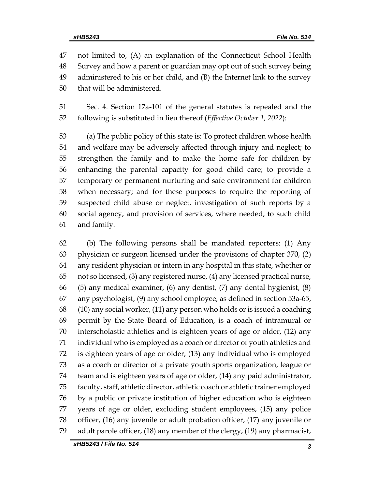not limited to, (A) an explanation of the Connecticut School Health Survey and how a parent or guardian may opt out of such survey being administered to his or her child, and (B) the Internet link to the survey that will be administered.

 Sec. 4. Section 17a-101 of the general statutes is repealed and the following is substituted in lieu thereof (*Effective October 1, 2022*):

 (a) The public policy of this state is: To protect children whose health and welfare may be adversely affected through injury and neglect; to strengthen the family and to make the home safe for children by enhancing the parental capacity for good child care; to provide a temporary or permanent nurturing and safe environment for children when necessary; and for these purposes to require the reporting of suspected child abuse or neglect, investigation of such reports by a social agency, and provision of services, where needed, to such child and family.

 (b) The following persons shall be mandated reporters: (1) Any physician or surgeon licensed under the provisions of chapter 370, (2) any resident physician or intern in any hospital in this state, whether or not so licensed, (3) any registered nurse, (4) any licensed practical nurse, (5) any medical examiner, (6) any dentist, (7) any dental hygienist, (8) any psychologist, (9) any school employee, as defined in section 53a-65, (10) any social worker, (11) any person who holds or is issued a coaching permit by the State Board of Education, is a coach of intramural or interscholastic athletics and is eighteen years of age or older, (12) any individual who is employed as a coach or director of youth athletics and is eighteen years of age or older, (13) any individual who is employed as a coach or director of a private youth sports organization, league or team and is eighteen years of age or older, (14) any paid administrator, faculty, staff, athletic director, athletic coach or athletic trainer employed by a public or private institution of higher education who is eighteen years of age or older, excluding student employees, (15) any police officer, (16) any juvenile or adult probation officer, (17) any juvenile or adult parole officer, (18) any member of the clergy, (19) any pharmacist,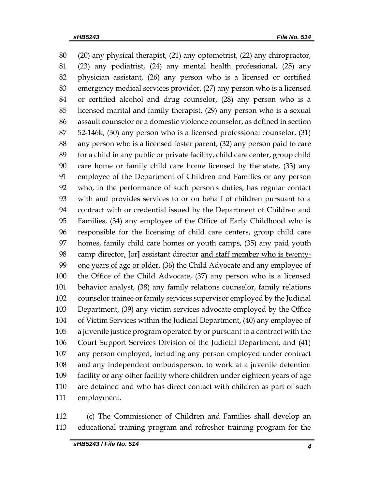(20) any physical therapist, (21) any optometrist, (22) any chiropractor, (23) any podiatrist, (24) any mental health professional, (25) any physician assistant, (26) any person who is a licensed or certified emergency medical services provider, (27) any person who is a licensed or certified alcohol and drug counselor, (28) any person who is a licensed marital and family therapist, (29) any person who is a sexual assault counselor or a domestic violence counselor, as defined in section 52-146k, (30) any person who is a licensed professional counselor, (31) any person who is a licensed foster parent, (32) any person paid to care for a child in any public or private facility, child care center, group child care home or family child care home licensed by the state, (33) any employee of the Department of Children and Families or any person who, in the performance of such person's duties, has regular contact with and provides services to or on behalf of children pursuant to a contract with or credential issued by the Department of Children and Families, (34) any employee of the Office of Early Childhood who is responsible for the licensing of child care centers, group child care homes, family child care homes or youth camps, (35) any paid youth camp director, **[**or**]** assistant director and staff member who is twenty- one years of age or older, (36) the Child Advocate and any employee of the Office of the Child Advocate, (37) any person who is a licensed behavior analyst, (38) any family relations counselor, family relations counselor trainee or family services supervisor employed by the Judicial Department, (39) any victim services advocate employed by the Office of Victim Services within the Judicial Department, (40) any employee of a juvenile justice program operated by or pursuant to a contract with the Court Support Services Division of the Judicial Department, and (41) any person employed, including any person employed under contract and any independent ombudsperson, to work at a juvenile detention facility or any other facility where children under eighteen years of age are detained and who has direct contact with children as part of such employment.

 (c) The Commissioner of Children and Families shall develop an educational training program and refresher training program for the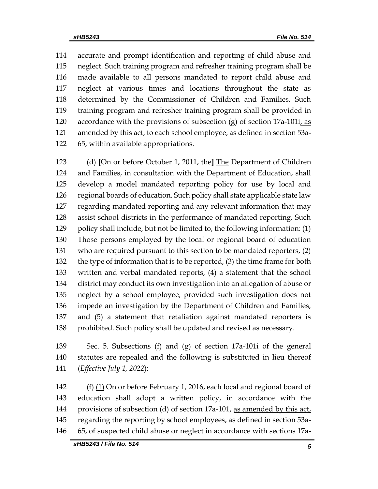accurate and prompt identification and reporting of child abuse and neglect. Such training program and refresher training program shall be made available to all persons mandated to report child abuse and neglect at various times and locations throughout the state as determined by the Commissioner of Children and Families. Such training program and refresher training program shall be provided in 120 accordance with the provisions of subsection  $(g)$  of section 17a-101i, as 121 amended by this act, to each school employee, as defined in section 53a-65, within available appropriations.

 (d) **[**On or before October 1, 2011, the**]** The Department of Children and Families, in consultation with the Department of Education, shall develop a model mandated reporting policy for use by local and regional boards of education. Such policy shall state applicable state law regarding mandated reporting and any relevant information that may assist school districts in the performance of mandated reporting. Such policy shall include, but not be limited to, the following information: (1) Those persons employed by the local or regional board of education who are required pursuant to this section to be mandated reporters, (2) the type of information that is to be reported, (3) the time frame for both written and verbal mandated reports, (4) a statement that the school district may conduct its own investigation into an allegation of abuse or neglect by a school employee, provided such investigation does not impede an investigation by the Department of Children and Families, and (5) a statement that retaliation against mandated reporters is 138 prohibited. Such policy shall be updated and revised as necessary.

 Sec. 5. Subsections (f) and (g) of section 17a-101i of the general statutes are repealed and the following is substituted in lieu thereof (*Effective July 1, 2022*):

 (f) (1) On or before February 1, 2016, each local and regional board of education shall adopt a written policy, in accordance with the 144 provisions of subsection (d) of section 17a-101, as amended by this act, regarding the reporting by school employees, as defined in section 53a-65, of suspected child abuse or neglect in accordance with sections 17a-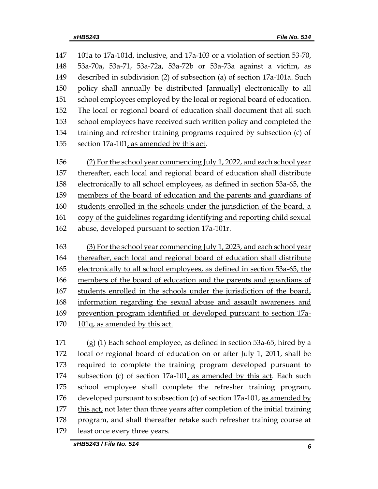101a to 17a-101d, inclusive, and 17a-103 or a violation of section 53-70, 53a-70a, 53a-71, 53a-72a, 53a-72b or 53a-73a against a victim, as described in subdivision (2) of subsection (a) of section 17a-101a. Such policy shall annually be distributed **[**annually**]** electronically to all school employees employed by the local or regional board of education. The local or regional board of education shall document that all such school employees have received such written policy and completed the training and refresher training programs required by subsection (c) of 155 section  $17a-101$ , as amended by this act. (2) For the school year commencing July 1, 2022, and each school year thereafter, each local and regional board of education shall distribute electronically to all school employees, as defined in section 53a-65, the members of the board of education and the parents and guardians of students enrolled in the schools under the jurisdiction of the board, a copy of the guidelines regarding identifying and reporting child sexual abuse, developed pursuant to section 17a-101r. (3) For the school year commencing July 1, 2023, and each school year thereafter, each local and regional board of education shall distribute electronically to all school employees, as defined in section 53a-65, the members of the board of education and the parents and guardians of students enrolled in the schools under the jurisdiction of the board, information regarding the sexual abuse and assault awareness and prevention program identified or developed pursuant to section 17a-170 101q, as amended by this act.

 (g) (1) Each school employee, as defined in section 53a-65, hired by a local or regional board of education on or after July 1, 2011, shall be required to complete the training program developed pursuant to subsection (c) of section 17a-101, as amended by this act. Each such school employee shall complete the refresher training program, developed pursuant to subsection (c) of section 17a-101, as amended by 177 this act, not later than three years after completion of the initial training program, and shall thereafter retake such refresher training course at least once every three years.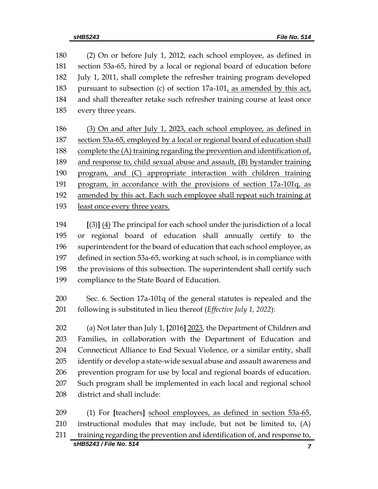(2) On or before July 1, 2012, each school employee, as defined in section 53a-65, hired by a local or regional board of education before July 1, 2011, shall complete the refresher training program developed pursuant to subsection (c) of section 17a-101, as amended by this act, and shall thereafter retake such refresher training course at least once every three years.

 (3) On and after July 1, 2023, each school employee, as defined in section 53a-65, employed by a local or regional board of education shall 188 complete the  $(A)$  training regarding the prevention and identification of, and response to, child sexual abuse and assault, (B) bystander training program, and (C) appropriate interaction with children training program, in accordance with the provisions of section 17a-101q, as amended by this act. Each such employee shall repeat such training at least once every three years.

 **[**(3)**]** (4) The principal for each school under the jurisdiction of a local or regional board of education shall annually certify to the superintendent for the board of education that each school employee, as defined in section 53a-65, working at such school, is in compliance with the provisions of this subsection. The superintendent shall certify such compliance to the State Board of Education.

 Sec. 6. Section 17a-101q of the general statutes is repealed and the following is substituted in lieu thereof (*Effective July 1, 2022*):

 (a) Not later than July 1, **[**2016**]** 2023, the Department of Children and Families, in collaboration with the Department of Education and 204 Connecticut Alliance to End Sexual Violence, or a similar entity, shall identify or develop a state-wide sexual abuse and assault awareness and prevention program for use by local and regional boards of education. Such program shall be implemented in each local and regional school district and shall include:

*sHB5243 / File No. 514 7* (1) For **[**teachers**]** school employees, as defined in section 53a-65, instructional modules that may include, but not be limited to, (A) training regarding the prevention and identification of, and response to,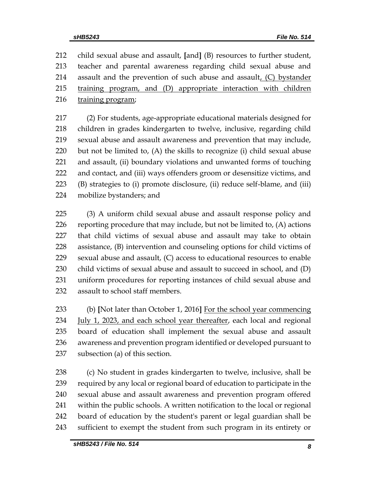child sexual abuse and assault, **[**and**]** (B) resources to further student, teacher and parental awareness regarding child sexual abuse and 214 assault and the prevention of such abuse and assault,  $(C)$  bystander training program, and (D) appropriate interaction with children training program;

 (2) For students, age-appropriate educational materials designed for children in grades kindergarten to twelve, inclusive, regarding child sexual abuse and assault awareness and prevention that may include, but not be limited to, (A) the skills to recognize (i) child sexual abuse and assault, (ii) boundary violations and unwanted forms of touching and contact, and (iii) ways offenders groom or desensitize victims, and (B) strategies to (i) promote disclosure, (ii) reduce self-blame, and (iii) mobilize bystanders; and

 (3) A uniform child sexual abuse and assault response policy and reporting procedure that may include, but not be limited to, (A) actions that child victims of sexual abuse and assault may take to obtain assistance, (B) intervention and counseling options for child victims of sexual abuse and assault, (C) access to educational resources to enable child victims of sexual abuse and assault to succeed in school, and (D) uniform procedures for reporting instances of child sexual abuse and assault to school staff members.

 (b) **[**Not later than October 1, 2016**]** For the school year commencing 234 July 1, 2023, and each school year thereafter, each local and regional board of education shall implement the sexual abuse and assault awareness and prevention program identified or developed pursuant to subsection (a) of this section.

 (c) No student in grades kindergarten to twelve, inclusive, shall be required by any local or regional board of education to participate in the sexual abuse and assault awareness and prevention program offered within the public schools. A written notification to the local or regional board of education by the student's parent or legal guardian shall be sufficient to exempt the student from such program in its entirety or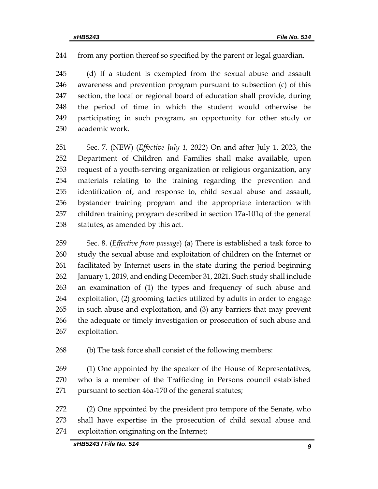from any portion thereof so specified by the parent or legal guardian.

 (d) If a student is exempted from the sexual abuse and assault awareness and prevention program pursuant to subsection (c) of this section, the local or regional board of education shall provide, during the period of time in which the student would otherwise be participating in such program, an opportunity for other study or academic work.

 Sec. 7. (NEW) (*Effective July 1, 2022*) On and after July 1, 2023, the Department of Children and Families shall make available, upon request of a youth-serving organization or religious organization, any materials relating to the training regarding the prevention and identification of, and response to, child sexual abuse and assault, bystander training program and the appropriate interaction with children training program described in section 17a-101q of the general statutes, as amended by this act.

 Sec. 8. (*Effective from passage*) (a) There is established a task force to study the sexual abuse and exploitation of children on the Internet or facilitated by Internet users in the state during the period beginning January 1, 2019, and ending December 31, 2021. Such study shall include an examination of (1) the types and frequency of such abuse and exploitation, (2) grooming tactics utilized by adults in order to engage in such abuse and exploitation, and (3) any barriers that may prevent the adequate or timely investigation or prosecution of such abuse and exploitation.

(b) The task force shall consist of the following members:

 (1) One appointed by the speaker of the House of Representatives, who is a member of the Trafficking in Persons council established pursuant to section 46a-170 of the general statutes;

 (2) One appointed by the president pro tempore of the Senate, who shall have expertise in the prosecution of child sexual abuse and exploitation originating on the Internet;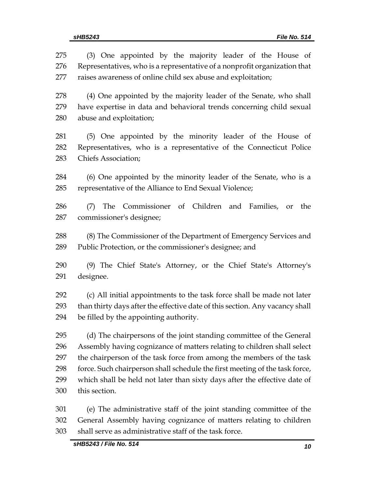| 275        | (3) One appointed by the majority leader of the House of                                         |
|------------|--------------------------------------------------------------------------------------------------|
| 276        | Representatives, who is a representative of a nonprofit organization that                        |
| 277        | raises awareness of online child sex abuse and exploitation;                                     |
| 278        | (4) One appointed by the majority leader of the Senate, who shall                                |
| 279        | have expertise in data and behavioral trends concerning child sexual                             |
| 280        | abuse and exploitation;                                                                          |
| 281        | (5) One appointed by the minority leader of the House of                                         |
| 282        | Representatives, who is a representative of the Connecticut Police                               |
| 283        | <b>Chiefs Association;</b>                                                                       |
| 284        | (6) One appointed by the minority leader of the Senate, who is a                                 |
| 285        | representative of the Alliance to End Sexual Violence;                                           |
| 286<br>287 | Commissioner of Children and<br>The<br>Families,<br>the<br>(7)<br>or<br>commissioner's designee; |
| 288        | (8) The Commissioner of the Department of Emergency Services and                                 |
| 289        | Public Protection, or the commissioner's designee; and                                           |
| 290        | (9) The Chief State's Attorney, or the Chief State's Attorney's                                  |
| 291        | designee.                                                                                        |
| 292        | (c) All initial appointments to the task force shall be made not later                           |
| 293        | than thirty days after the effective date of this section. Any vacancy shall                     |
| 294        | be filled by the appointing authority.                                                           |
| 295        | (d) The chairpersons of the joint standing committee of the General                              |
| 296        | Assembly having cognizance of matters relating to children shall select                          |
| 297        | the chairperson of the task force from among the members of the task                             |
| 298        | force. Such chairperson shall schedule the first meeting of the task force,                      |
| 299        | which shall be held not later than sixty days after the effective date of                        |
| 300        | this section.                                                                                    |
| 301        | (e) The administrative staff of the joint standing committee of the                              |
| 302        | General Assembly having cognizance of matters relating to children                               |
| 303        | shall serve as administrative staff of the task force.                                           |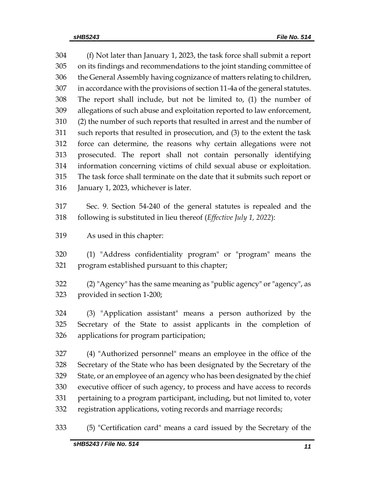(f) Not later than January 1, 2023, the task force shall submit a report on its findings and recommendations to the joint standing committee of the General Assembly having cognizance of matters relating to children, in accordance with the provisions of section 11-4a of the general statutes. The report shall include, but not be limited to, (1) the number of allegations of such abuse and exploitation reported to law enforcement, (2) the number of such reports that resulted in arrest and the number of such reports that resulted in prosecution, and (3) to the extent the task force can determine, the reasons why certain allegations were not prosecuted. The report shall not contain personally identifying information concerning victims of child sexual abuse or exploitation. The task force shall terminate on the date that it submits such report or January 1, 2023, whichever is later.

 Sec. 9. Section 54-240 of the general statutes is repealed and the following is substituted in lieu thereof (*Effective July 1, 2022*):

As used in this chapter:

 (1) "Address confidentiality program" or "program" means the program established pursuant to this chapter;

 (2) "Agency" has the same meaning as "public agency" or "agency", as provided in section 1-200;

 (3) "Application assistant" means a person authorized by the Secretary of the State to assist applicants in the completion of applications for program participation;

 (4) "Authorized personnel" means an employee in the office of the Secretary of the State who has been designated by the Secretary of the State, or an employee of an agency who has been designated by the chief executive officer of such agency, to process and have access to records pertaining to a program participant, including, but not limited to, voter registration applications, voting records and marriage records;

(5) "Certification card" means a card issued by the Secretary of the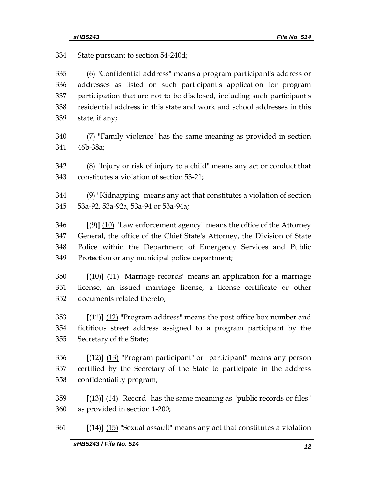| 334                      | State pursuant to section 54-240d;                                                                                                                                                                                                                                                              |
|--------------------------|-------------------------------------------------------------------------------------------------------------------------------------------------------------------------------------------------------------------------------------------------------------------------------------------------|
| 335<br>336<br>337<br>338 | (6) "Confidential address" means a program participant's address or<br>addresses as listed on such participant's application for program<br>participation that are not to be disclosed, including such participant's<br>residential address in this state and work and school addresses in this |
| 339                      | state, if any;                                                                                                                                                                                                                                                                                  |
| 340                      | (7) "Family violence" has the same meaning as provided in section                                                                                                                                                                                                                               |
| 341                      | 46b-38a;                                                                                                                                                                                                                                                                                        |
| 342<br>343               | (8) "Injury or risk of injury to a child" means any act or conduct that<br>constitutes a violation of section 53-21;                                                                                                                                                                            |
| 344<br>345               | (9) "Kidnapping" means any act that constitutes a violation of section<br>53a-92, 53a-92a, 53a-94 or 53a-94a;                                                                                                                                                                                   |
| 346                      | $[9]$ (10) "Law enforcement agency" means the office of the Attorney                                                                                                                                                                                                                            |
| 347                      | General, the office of the Chief State's Attorney, the Division of State                                                                                                                                                                                                                        |
| 348<br>349               | Police within the Department of Emergency Services and Public<br>Protection or any municipal police department;                                                                                                                                                                                 |
| 350                      | $[(10)]$ $(11)$ "Marriage records" means an application for a marriage                                                                                                                                                                                                                          |
| 351<br>352               | license, an issued marriage license, a license certificate or other<br>documents related thereto;                                                                                                                                                                                               |
| 353                      | $[(11)]$ $(12)$ "Program address" means the post office box number and                                                                                                                                                                                                                          |
| 354<br>355               | fictitious street address assigned to a program participant by the<br>Secretary of the State;                                                                                                                                                                                                   |
|                          |                                                                                                                                                                                                                                                                                                 |
| 356<br>357               | $[(12)]$ $(13)$ "Program participant" or "participant" means any person<br>certified by the Secretary of the State to participate in the address                                                                                                                                                |
| 358                      | confidentiality program;                                                                                                                                                                                                                                                                        |
| 359<br>360               | $[(13)]$ $(14)$ "Record" has the same meaning as "public records or files"<br>as provided in section 1-200;                                                                                                                                                                                     |

**[**(14)**]** (15) "Sexual assault" means any act that constitutes a violation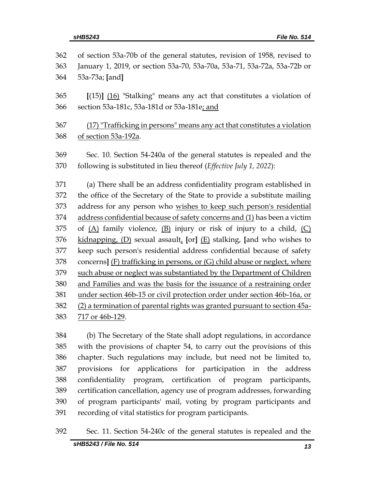| 362 | of section 53a-70b of the general statutes, revision of 1958, revised to    |  |  |  |
|-----|-----------------------------------------------------------------------------|--|--|--|
| 363 | January 1, 2019, or section 53a-70, 53a-70a, 53a-71, 53a-72a, 53a-72b or    |  |  |  |
| 364 | 53a-73a; [and]                                                              |  |  |  |
| 365 | $[(15)]$ $(16)$ "Stalking" means any act that constitutes a violation of    |  |  |  |
| 366 | section 53a-181c, 53a-181d or 53a-181e; and                                 |  |  |  |
| 367 | (17) "Trafficking in persons" means any act that constitutes a violation    |  |  |  |
| 368 | of section 53a-192a.                                                        |  |  |  |
| 369 | Sec. 10. Section 54-240a of the general statutes is repealed and the        |  |  |  |
| 370 | following is substituted in lieu thereof (Effective July 1, 2022):          |  |  |  |
| 371 | (a) There shall be an address confidentiality program established in        |  |  |  |
| 372 | the office of the Secretary of the State to provide a substitute mailing    |  |  |  |
| 373 | address for any person who wishes to keep such person's residential         |  |  |  |
| 374 | address confidential because of safety concerns and (1) has been a victim   |  |  |  |
| 375 | of $(A)$ family violence, $(B)$ injury or risk of injury to a child, $(C)$  |  |  |  |
| 376 | kidnapping, $(D)$ sexual assault, [or] $(E)$ stalking, [and who wishes to   |  |  |  |
| 377 | keep such person's residential address confidential because of safety       |  |  |  |
| 378 | concerns] (F) trafficking in persons, or (G) child abuse or neglect, where  |  |  |  |
| 379 | such abuse or neglect was substantiated by the Department of Children       |  |  |  |
| 380 | and Families and was the basis for the issuance of a restraining order      |  |  |  |
| 381 | under section 46b-15 or civil protection order under section 46b-16a, or    |  |  |  |
| 382 | (2) a termination of parental rights was granted pursuant to section 45a-   |  |  |  |
| 383 | 717 or 46b-129.                                                             |  |  |  |
| 384 | (b) The Secretary of the State shall adopt regulations, in accordance       |  |  |  |
| 385 | with the provisions of chapter 54, to carry out the provisions of this      |  |  |  |
| 386 | chapter. Such regulations may include, but need not be limited to,          |  |  |  |
| 387 | for applications<br>for participation<br>provisions<br>in<br>address<br>the |  |  |  |

 confidentiality program, certification of program participants, certification cancellation, agency use of program addresses, forwarding of program participants' mail, voting by program participants and recording of vital statistics for program participants.

Sec. 11. Section 54-240c of the general statutes is repealed and the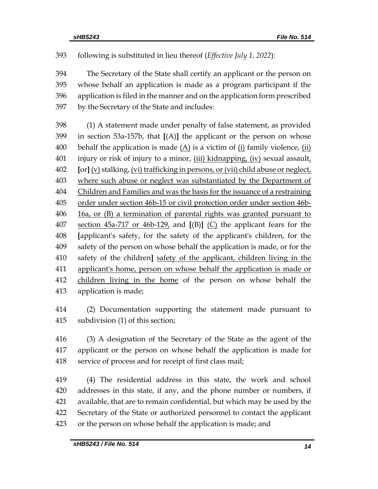following is substituted in lieu thereof (*Effective July 1, 2022*):

 The Secretary of the State shall certify an applicant or the person on whose behalf an application is made as a program participant if the application is filed in the manner and on the application form prescribed by the Secretary of the State and includes:

 (1) A statement made under penalty of false statement, as provided in section 53a-157b, that **[**(A)**]** the applicant or the person on whose 400 behalf the application is made  $(A)$  is a victim of  $(i)$  family violence,  $(ii)$ 401 injury or risk of injury to a minor,  $(iii)$  kidnapping,  $(iv)$  sexual assault, **[**or**]** (v) stalking, (vi) trafficking in persons, or (vii) child abuse or neglect, where such abuse or neglect was substantiated by the Department of Children and Families and was the basis for the issuance of a restraining order under section 46b-15 or civil protection order under section 46b- 16a, or (B) a termination of parental rights was granted pursuant to section 45a-717 or 46b-129, and **[**(B)**]** (C) the applicant fears for the **[**applicant's safety, for the safety of the applicant's children, for the safety of the person on whose behalf the application is made, or for the safety of the children**]** safety of the applicant, children living in the applicant's home, person on whose behalf the application is made or 412 children living in the home of the person on whose behalf the application is made;

 (2) Documentation supporting the statement made pursuant to subdivision (1) of this section;

 (3) A designation of the Secretary of the State as the agent of the applicant or the person on whose behalf the application is made for service of process and for receipt of first class mail;

 (4) The residential address in this state, the work and school addresses in this state, if any, and the phone number or numbers, if available, that are to remain confidential, but which may be used by the Secretary of the State or authorized personnel to contact the applicant or the person on whose behalf the application is made; and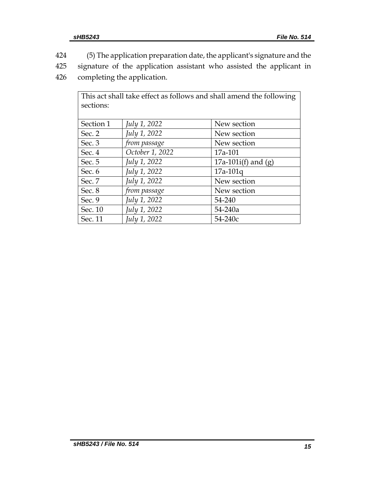424 (5) The application preparation date, the applicant's signature and the

425 signature of the application assistant who assisted the applicant in

426 completing the application.

| This act shall take effect as follows and shall amend the following |                 |                       |  |  |  |  |  |
|---------------------------------------------------------------------|-----------------|-----------------------|--|--|--|--|--|
| sections:                                                           |                 |                       |  |  |  |  |  |
|                                                                     |                 |                       |  |  |  |  |  |
| Section 1                                                           | July 1, 2022    | New section           |  |  |  |  |  |
| Sec. 2                                                              | July 1, 2022    | New section           |  |  |  |  |  |
| Sec. 3                                                              | from passage    | New section           |  |  |  |  |  |
| Sec. 4                                                              | October 1, 2022 | 17a-101               |  |  |  |  |  |
| Sec. 5                                                              | July 1, 2022    | 17a-101i(f) and $(g)$ |  |  |  |  |  |
| Sec. 6                                                              | July 1, 2022    | $17a-101q$            |  |  |  |  |  |
| Sec. 7                                                              | July 1, 2022    | New section           |  |  |  |  |  |
| Sec. 8                                                              | from passage    | New section           |  |  |  |  |  |
| Sec. 9                                                              | July 1, 2022    | 54-240                |  |  |  |  |  |
| Sec. 10                                                             | July 1, 2022    | 54-240a               |  |  |  |  |  |
| Sec. 11                                                             | July 1, 2022    | 54-240c               |  |  |  |  |  |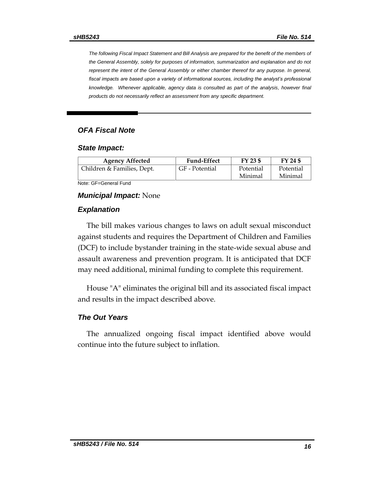*The following Fiscal Impact Statement and Bill Analysis are prepared for the benefit of the members of the General Assembly, solely for purposes of information, summarization and explanation and do not represent the intent of the General Assembly or either chamber thereof for any purpose. In general,*  fiscal impacts are based upon a variety of informational sources, including the analyst's professional knowledge. Whenever applicable, agency data is consulted as part of the analysis, however final *products do not necessarily reflect an assessment from any specific department.*

### *OFA Fiscal Note*

#### *State Impact:*

| GF - Potential | Potential | Potential |
|----------------|-----------|-----------|
|                | Minimal   | Minimal   |
|                |           |           |

Note: GF=General Fund

#### *Municipal Impact:* None

#### *Explanation*

The bill makes various changes to laws on adult sexual misconduct against students and requires the Department of Children and Families (DCF) to include bystander training in the state-wide sexual abuse and assault awareness and prevention program. It is anticipated that DCF may need additional, minimal funding to complete this requirement.

House "A" eliminates the original bill and its associated fiscal impact and results in the impact described above.

#### *The Out Years*

The annualized ongoing fiscal impact identified above would continue into the future subject to inflation.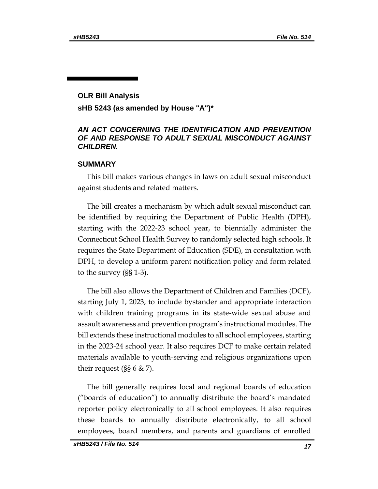# **OLR Bill Analysis sHB 5243 (as amended by House "A")\***

# *AN ACT CONCERNING THE IDENTIFICATION AND PREVENTION OF AND RESPONSE TO ADULT SEXUAL MISCONDUCT AGAINST CHILDREN.*

### **SUMMARY**

This bill makes various changes in laws on adult sexual misconduct against students and related matters.

The bill creates a mechanism by which adult sexual misconduct can be identified by requiring the Department of Public Health (DPH), starting with the 2022-23 school year, to biennially administer the Connecticut School Health Survey to randomly selected high schools. It requires the State Department of Education (SDE), in consultation with DPH, to develop a uniform parent notification policy and form related to the survey (§§ 1-3).

The bill also allows the Department of Children and Families (DCF), starting July 1, 2023, to include bystander and appropriate interaction with children training programs in its state-wide sexual abuse and assault awareness and prevention program's instructional modules. The bill extends these instructional modules to all school employees, starting in the 2023-24 school year. It also requires DCF to make certain related materials available to youth-serving and religious organizations upon their request ( $\S$ § 6 & 7).

The bill generally requires local and regional boards of education ("boards of education") to annually distribute the board's mandated reporter policy electronically to all school employees. It also requires these boards to annually distribute electronically, to all school employees, board members, and parents and guardians of enrolled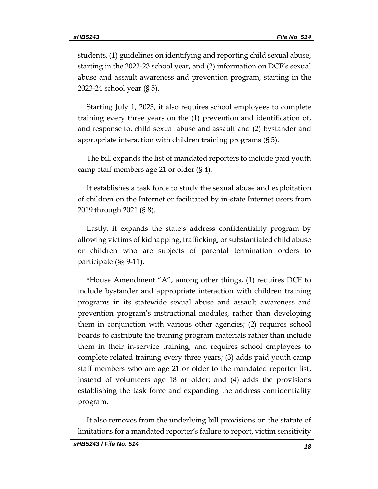students, (1) guidelines on identifying and reporting child sexual abuse, starting in the 2022-23 school year, and (2) information on DCF's sexual abuse and assault awareness and prevention program, starting in the 2023-24 school year (§ 5).

Starting July 1, 2023, it also requires school employees to complete training every three years on the (1) prevention and identification of, and response to, child sexual abuse and assault and (2) bystander and appropriate interaction with children training programs (§ 5).

The bill expands the list of mandated reporters to include paid youth camp staff members age 21 or older (§ 4).

It establishes a task force to study the sexual abuse and exploitation of children on the Internet or facilitated by in-state Internet users from 2019 through 2021 (§ 8).

Lastly, it expands the state's address confidentiality program by allowing victims of kidnapping, trafficking, or substantiated child abuse or children who are subjects of parental termination orders to participate (§§ 9-11).

\*House Amendment " $A$ ", among other things, (1) requires DCF to include bystander and appropriate interaction with children training programs in its statewide sexual abuse and assault awareness and prevention program's instructional modules, rather than developing them in conjunction with various other agencies; (2) requires school boards to distribute the training program materials rather than include them in their in-service training, and requires school employees to complete related training every three years; (3) adds paid youth camp staff members who are age 21 or older to the mandated reporter list, instead of volunteers age 18 or older; and (4) adds the provisions establishing the task force and expanding the address confidentiality program.

It also removes from the underlying bill provisions on the statute of limitations for a mandated reporter's failure to report, victim sensitivity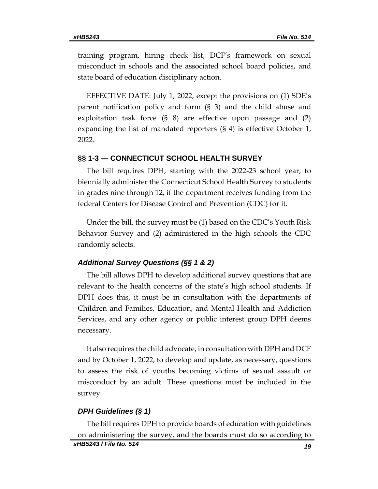training program, hiring check list, DCF's framework on sexual misconduct in schools and the associated school board policies, and state board of education disciplinary action.

EFFECTIVE DATE: July 1, 2022, except the provisions on (1) SDE's parent notification policy and form (§ 3) and the child abuse and exploitation task force (§ 8) are effective upon passage and (2) expanding the list of mandated reporters (§ 4) is effective October 1, 2022.

#### **§§ 1-3 — CONNECTICUT SCHOOL HEALTH SURVEY**

The bill requires DPH, starting with the 2022-23 school year, to biennially administer the Connecticut School Health Survey to students in grades nine through 12, if the department receives funding from the federal Centers for Disease Control and Prevention (CDC) for it.

Under the bill, the survey must be (1) based on the CDC's Youth Risk Behavior Survey and (2) administered in the high schools the CDC randomly selects.

#### *Additional Survey Questions (§§ 1 & 2)*

The bill allows DPH to develop additional survey questions that are relevant to the health concerns of the state's high school students. If DPH does this, it must be in consultation with the departments of Children and Families, Education, and Mental Health and Addiction Services, and any other agency or public interest group DPH deems necessary.

It also requires the child advocate, in consultation with DPH and DCF and by October 1, 2022, to develop and update, as necessary, questions to assess the risk of youths becoming victims of sexual assault or misconduct by an adult. These questions must be included in the survey.

#### *DPH Guidelines (§ 1)*

The bill requires DPH to provide boards of education with guidelines on administering the survey, and the boards must do so according to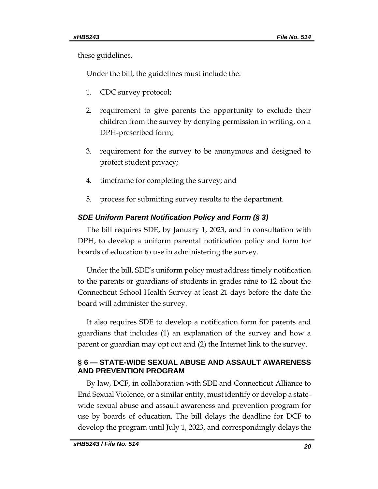these guidelines.

Under the bill, the guidelines must include the:

- 1. CDC survey protocol;
- 2. requirement to give parents the opportunity to exclude their children from the survey by denying permission in writing, on a DPH-prescribed form;
- 3. requirement for the survey to be anonymous and designed to protect student privacy;
- 4. timeframe for completing the survey; and
- 5. process for submitting survey results to the department.

## *SDE Uniform Parent Notification Policy and Form (§ 3)*

The bill requires SDE, by January 1, 2023, and in consultation with DPH, to develop a uniform parental notification policy and form for boards of education to use in administering the survey.

Under the bill, SDE's uniform policy must address timely notification to the parents or guardians of students in grades nine to 12 about the Connecticut School Health Survey at least 21 days before the date the board will administer the survey.

It also requires SDE to develop a notification form for parents and guardians that includes (1) an explanation of the survey and how a parent or guardian may opt out and (2) the Internet link to the survey.

# **§ 6 — STATE-WIDE SEXUAL ABUSE AND ASSAULT AWARENESS AND PREVENTION PROGRAM**

By law, DCF, in collaboration with SDE and Connecticut Alliance to End Sexual Violence, or a similar entity, must identify or develop a statewide sexual abuse and assault awareness and prevention program for use by boards of education. The bill delays the deadline for DCF to develop the program until July 1, 2023, and correspondingly delays the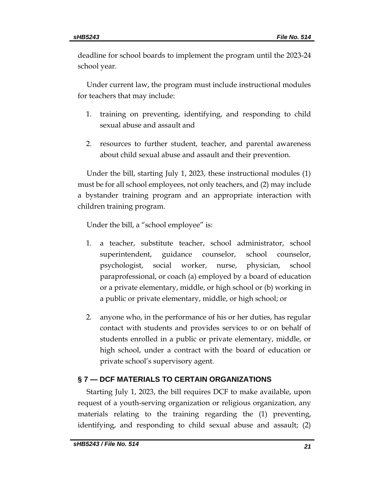deadline for school boards to implement the program until the 2023-24 school year.

Under current law, the program must include instructional modules for teachers that may include:

- 1. training on preventing, identifying, and responding to child sexual abuse and assault and
- 2. resources to further student, teacher, and parental awareness about child sexual abuse and assault and their prevention.

Under the bill, starting July 1, 2023, these instructional modules (1) must be for all school employees, not only teachers, and (2) may include a bystander training program and an appropriate interaction with children training program.

Under the bill, a "school employee" is:

- 1. a teacher, substitute teacher, school administrator, school superintendent, guidance counselor, school counselor, psychologist, social worker, nurse, physician, school paraprofessional, or coach (a) employed by a board of education or a private elementary, middle, or high school or (b) working in a public or private elementary, middle, or high school; or
- 2. anyone who, in the performance of his or her duties, has regular contact with students and provides services to or on behalf of students enrolled in a public or private elementary, middle, or high school, under a contract with the board of education or private school's supervisory agent.

# **§ 7 — DCF MATERIALS TO CERTAIN ORGANIZATIONS**

Starting July 1, 2023, the bill requires DCF to make available, upon request of a youth-serving organization or religious organization, any materials relating to the training regarding the (1) preventing, identifying, and responding to child sexual abuse and assault; (2)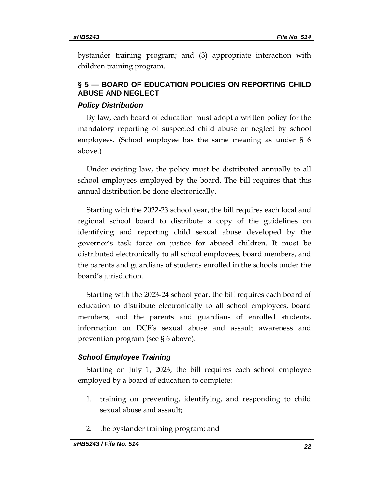bystander training program; and (3) appropriate interaction with children training program.

# **§ 5 — BOARD OF EDUCATION POLICIES ON REPORTING CHILD ABUSE AND NEGLECT**

## *Policy Distribution*

By law, each board of education must adopt a written policy for the mandatory reporting of suspected child abuse or neglect by school employees. (School employee has the same meaning as under § 6 above.)

Under existing law, the policy must be distributed annually to all school employees employed by the board. The bill requires that this annual distribution be done electronically.

Starting with the 2022-23 school year, the bill requires each local and regional school board to distribute a copy of the guidelines on identifying and reporting child sexual abuse developed by the governor's task force on justice for abused children. It must be distributed electronically to all school employees, board members, and the parents and guardians of students enrolled in the schools under the board's jurisdiction.

Starting with the 2023-24 school year, the bill requires each board of education to distribute electronically to all school employees, board members, and the parents and guardians of enrolled students, information on DCF's sexual abuse and assault awareness and prevention program (see § 6 above).

# *School Employee Training*

Starting on July 1, 2023, the bill requires each school employee employed by a board of education to complete:

- 1. training on preventing, identifying, and responding to child sexual abuse and assault;
- 2. the bystander training program; and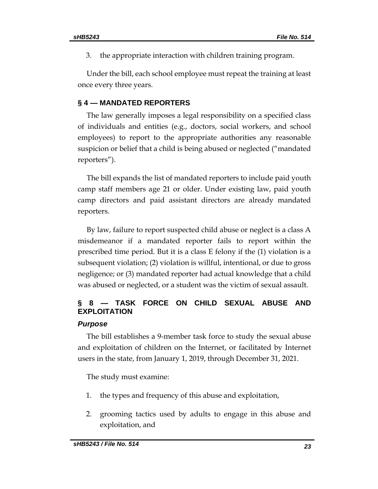3. the appropriate interaction with children training program.

Under the bill, each school employee must repeat the training at least once every three years.

# **§ 4 — MANDATED REPORTERS**

The law generally imposes a legal responsibility on a specified class of individuals and entities (e.g., doctors, social workers, and school employees) to report to the appropriate authorities any reasonable suspicion or belief that a child is being abused or neglected ("mandated reporters").

The bill expands the list of mandated reporters to include paid youth camp staff members age 21 or older. Under existing law, paid youth camp directors and paid assistant directors are already mandated reporters.

By law, failure to report suspected child abuse or neglect is a class A misdemeanor if a mandated reporter fails to report within the prescribed time period. But it is a class E felony if the (1) violation is a subsequent violation; (2) violation is willful, intentional, or due to gross negligence; or (3) mandated reporter had actual knowledge that a child was abused or neglected, or a student was the victim of sexual assault.

# **§ 8 — TASK FORCE ON CHILD SEXUAL ABUSE AND EXPLOITATION**

#### *Purpose*

The bill establishes a 9-member task force to study the sexual abuse and exploitation of children on the Internet, or facilitated by Internet users in the state, from January 1, 2019, through December 31, 2021.

The study must examine:

- 1. the types and frequency of this abuse and exploitation,
- 2. grooming tactics used by adults to engage in this abuse and exploitation, and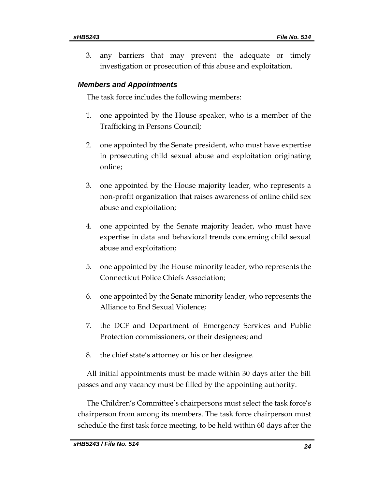3. any barriers that may prevent the adequate or timely investigation or prosecution of this abuse and exploitation.

## *Members and Appointments*

The task force includes the following members:

- 1. one appointed by the House speaker, who is a member of the Trafficking in Persons Council;
- 2. one appointed by the Senate president, who must have expertise in prosecuting child sexual abuse and exploitation originating online;
- 3. one appointed by the House majority leader, who represents a non-profit organization that raises awareness of online child sex abuse and exploitation;
- 4. one appointed by the Senate majority leader, who must have expertise in data and behavioral trends concerning child sexual abuse and exploitation;
- 5. one appointed by the House minority leader, who represents the Connecticut Police Chiefs Association;
- 6. one appointed by the Senate minority leader, who represents the Alliance to End Sexual Violence;
- 7. the DCF and Department of Emergency Services and Public Protection commissioners, or their designees; and
- 8. the chief state's attorney or his or her designee.

All initial appointments must be made within 30 days after the bill passes and any vacancy must be filled by the appointing authority.

The Children's Committee's chairpersons must select the task force's chairperson from among its members. The task force chairperson must schedule the first task force meeting, to be held within 60 days after the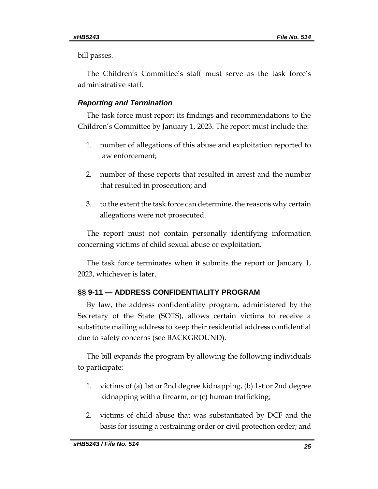bill passes.

The Children's Committee's staff must serve as the task force's administrative staff.

# *Reporting and Termination*

The task force must report its findings and recommendations to the Children's Committee by January 1, 2023. The report must include the:

- 1. number of allegations of this abuse and exploitation reported to law enforcement;
- 2. number of these reports that resulted in arrest and the number that resulted in prosecution; and
- 3. to the extent the task force can determine, the reasons why certain allegations were not prosecuted.

The report must not contain personally identifying information concerning victims of child sexual abuse or exploitation.

The task force terminates when it submits the report or January 1, 2023, whichever is later.

# **§§ 9-11 — ADDRESS CONFIDENTIALITY PROGRAM**

By law, the address confidentiality program, administered by the Secretary of the State (SOTS), allows certain victims to receive a substitute mailing address to keep their residential address confidential due to safety concerns (see BACKGROUND).

The bill expands the program by allowing the following individuals to participate:

- 1. victims of (a) 1st or 2nd degree kidnapping, (b) 1st or 2nd degree kidnapping with a firearm, or (c) human trafficking;
- 2. victims of child abuse that was substantiated by DCF and the basis for issuing a restraining order or civil protection order; and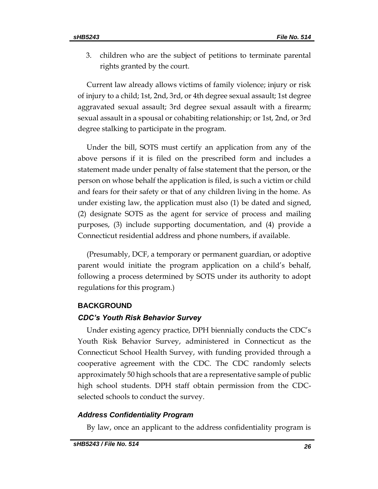3. children who are the subject of petitions to terminate parental rights granted by the court.

Current law already allows victims of family violence; injury or risk of injury to a child; 1st, 2nd, 3rd, or 4th degree sexual assault; 1st degree aggravated sexual assault; 3rd degree sexual assault with a firearm; sexual assault in a spousal or cohabiting relationship; or 1st, 2nd, or 3rd degree stalking to participate in the program.

Under the bill, SOTS must certify an application from any of the above persons if it is filed on the prescribed form and includes a statement made under penalty of false statement that the person, or the person on whose behalf the application is filed, is such a victim or child and fears for their safety or that of any children living in the home. As under existing law, the application must also (1) be dated and signed, (2) designate SOTS as the agent for service of process and mailing purposes, (3) include supporting documentation, and (4) provide a Connecticut residential address and phone numbers, if available.

(Presumably, DCF, a temporary or permanent guardian, or adoptive parent would initiate the program application on a child's behalf, following a process determined by SOTS under its authority to adopt regulations for this program.)

## **BACKGROUND**

#### *CDC's Youth Risk Behavior Survey*

Under existing agency practice, DPH biennially conducts the CDC's Youth Risk Behavior Survey, administered in Connecticut as the Connecticut School Health Survey, with funding provided through a cooperative agreement with the CDC. The CDC randomly selects approximately 50 high schools that are a representative sample of public high school students. DPH staff obtain permission from the CDCselected schools to conduct the survey.

#### *Address Confidentiality Program*

By law, once an applicant to the address confidentiality program is